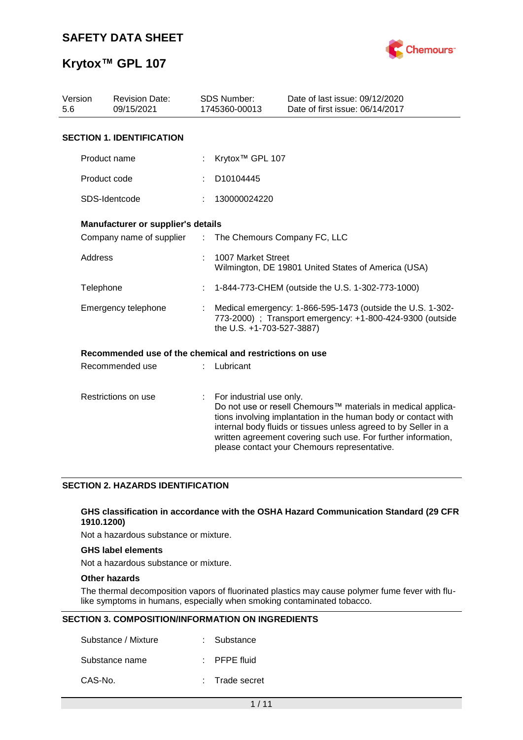

# **Krytox™ GPL 107**

| Version<br>5.6 | <b>Revision Date:</b><br>09/15/2021                     |               | <b>SDS Number:</b><br>1745360-00013 | Date of last issue: 09/12/2020<br>Date of first issue: 06/14/2017                                                                                                                                                                                                                                                  |
|----------------|---------------------------------------------------------|---------------|-------------------------------------|--------------------------------------------------------------------------------------------------------------------------------------------------------------------------------------------------------------------------------------------------------------------------------------------------------------------|
|                | <b>SECTION 1. IDENTIFICATION</b>                        |               |                                     |                                                                                                                                                                                                                                                                                                                    |
|                | Product name                                            |               | Krytox <sup>™</sup> GPL 107         |                                                                                                                                                                                                                                                                                                                    |
|                | Product code                                            |               | D10104445                           |                                                                                                                                                                                                                                                                                                                    |
|                | SDS-Identcode                                           |               | 130000024220                        |                                                                                                                                                                                                                                                                                                                    |
|                | Manufacturer or supplier's details                      |               |                                     |                                                                                                                                                                                                                                                                                                                    |
|                | Company name of supplier                                | $\mathcal{L}$ | The Chemours Company FC, LLC        |                                                                                                                                                                                                                                                                                                                    |
| Address        |                                                         |               | 1007 Market Street                  | Wilmington, DE 19801 United States of America (USA)                                                                                                                                                                                                                                                                |
| Telephone      |                                                         |               |                                     | 1-844-773-CHEM (outside the U.S. 1-302-773-1000)                                                                                                                                                                                                                                                                   |
|                | Emergency telephone                                     |               | the U.S. +1-703-527-3887)           | Medical emergency: 1-866-595-1473 (outside the U.S. 1-302-<br>773-2000) ; Transport emergency: +1-800-424-9300 (outside                                                                                                                                                                                            |
|                | Recommended use of the chemical and restrictions on use |               |                                     |                                                                                                                                                                                                                                                                                                                    |
|                | Recommended use                                         |               | Lubricant                           |                                                                                                                                                                                                                                                                                                                    |
|                | Restrictions on use                                     | ÷             | For industrial use only.            | Do not use or resell Chemours™ materials in medical applica-<br>tions involving implantation in the human body or contact with<br>internal body fluids or tissues unless agreed to by Seller in a<br>written agreement covering such use. For further information,<br>please contact your Chemours representative. |

### **SECTION 2. HAZARDS IDENTIFICATION**

### **GHS classification in accordance with the OSHA Hazard Communication Standard (29 CFR 1910.1200)**

Not a hazardous substance or mixture.

### **GHS label elements**

Not a hazardous substance or mixture.

### **Other hazards**

The thermal decomposition vapors of fluorinated plastics may cause polymer fume fever with flulike symptoms in humans, especially when smoking contaminated tobacco.

### **SECTION 3. COMPOSITION/INFORMATION ON INGREDIENTS**

| Substance / Mixture | : Substance             |
|---------------------|-------------------------|
| Substance name      | $\therefore$ PFPE fluid |
| CAS-No.             | : Trade secret          |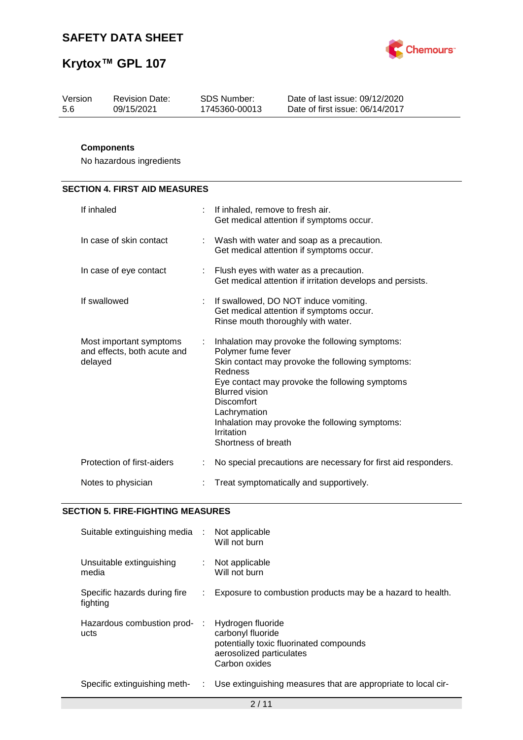

| Version | <b>Revision Date:</b> | SDS Number:   | Date of last issue: 09/12/2020  |
|---------|-----------------------|---------------|---------------------------------|
| 5.6     | 09/15/2021            | 1745360-00013 | Date of first issue: 06/14/2017 |
|         |                       |               |                                 |

## **Components**

No hazardous ingredients

# **SECTION 4. FIRST AID MEASURES**

| If inhaled                                                        |    | If inhaled, remove to fresh air.<br>Get medical attention if symptoms occur.                                                                                                                                                                                                                                                               |
|-------------------------------------------------------------------|----|--------------------------------------------------------------------------------------------------------------------------------------------------------------------------------------------------------------------------------------------------------------------------------------------------------------------------------------------|
| In case of skin contact                                           | ÷. | Wash with water and soap as a precaution.<br>Get medical attention if symptoms occur.                                                                                                                                                                                                                                                      |
| In case of eye contact                                            |    | : Flush eyes with water as a precaution.<br>Get medical attention if irritation develops and persists.                                                                                                                                                                                                                                     |
| If swallowed                                                      | ÷. | If swallowed, DO NOT induce vomiting.<br>Get medical attention if symptoms occur.<br>Rinse mouth thoroughly with water.                                                                                                                                                                                                                    |
| Most important symptoms<br>and effects, both acute and<br>delayed | ÷  | Inhalation may provoke the following symptoms:<br>Polymer fume fever<br>Skin contact may provoke the following symptoms:<br>Redness<br>Eye contact may provoke the following symptoms<br><b>Blurred vision</b><br><b>Discomfort</b><br>Lachrymation<br>Inhalation may provoke the following symptoms:<br>Irritation<br>Shortness of breath |
| Protection of first-aiders                                        |    | No special precautions are necessary for first aid responders.                                                                                                                                                                                                                                                                             |
| Notes to physician                                                |    | Treat symptomatically and supportively.                                                                                                                                                                                                                                                                                                    |

### **SECTION 5. FIRE-FIGHTING MEASURES**

| Suitable extinguishing media :           |      | Not applicable<br>Will not burn                                                                                                |
|------------------------------------------|------|--------------------------------------------------------------------------------------------------------------------------------|
| Unsuitable extinguishing<br>media        | ÷.   | Not applicable<br>Will not burn                                                                                                |
| Specific hazards during fire<br>fighting |      | Exposure to combustion products may be a hazard to health.                                                                     |
| Hazardous combustion prod-<br>ucts       |      | Hydrogen fluoride<br>carbonyl fluoride<br>potentially toxic fluorinated compounds<br>aerosolized particulates<br>Carbon oxides |
| Specific extinguishing meth-             | t in | Use extinguishing measures that are appropriate to local cir-                                                                  |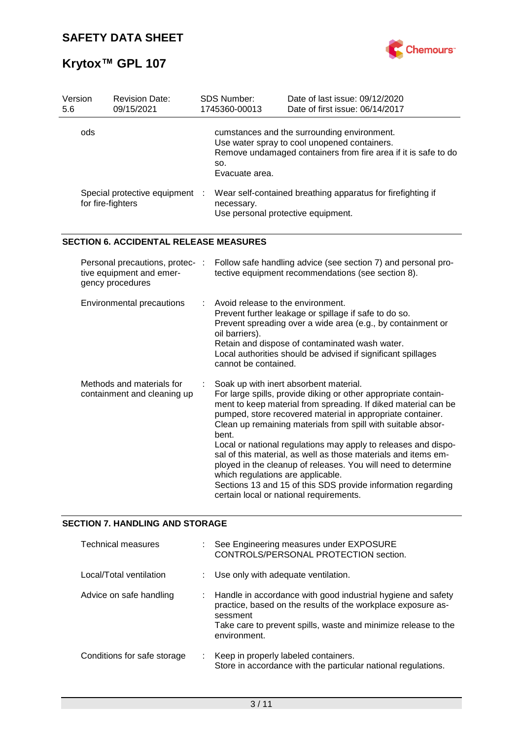

| Version<br>5.6 | <b>Revision Date:</b><br>09/15/2021                                             |   | SDS Number:<br>1745360-00013                                                | Date of last issue: 09/12/2020<br>Date of first issue: 06/14/2017                                                                                                                                                                                                                                                                                                                                                                                                                                                                                                                                                        |
|----------------|---------------------------------------------------------------------------------|---|-----------------------------------------------------------------------------|--------------------------------------------------------------------------------------------------------------------------------------------------------------------------------------------------------------------------------------------------------------------------------------------------------------------------------------------------------------------------------------------------------------------------------------------------------------------------------------------------------------------------------------------------------------------------------------------------------------------------|
|                | ods                                                                             |   | SO.<br>Evacuate area.                                                       | cumstances and the surrounding environment.<br>Use water spray to cool unopened containers.<br>Remove undamaged containers from fire area if it is safe to do                                                                                                                                                                                                                                                                                                                                                                                                                                                            |
|                | Special protective equipment :<br>for fire-fighters                             |   | necessary.                                                                  | Wear self-contained breathing apparatus for firefighting if<br>Use personal protective equipment.                                                                                                                                                                                                                                                                                                                                                                                                                                                                                                                        |
|                | <b>SECTION 6. ACCIDENTAL RELEASE MEASURES</b>                                   |   |                                                                             |                                                                                                                                                                                                                                                                                                                                                                                                                                                                                                                                                                                                                          |
|                | Personal precautions, protec- :<br>tive equipment and emer-<br>gency procedures |   |                                                                             | Follow safe handling advice (see section 7) and personal pro-<br>tective equipment recommendations (see section 8).                                                                                                                                                                                                                                                                                                                                                                                                                                                                                                      |
|                | Environmental precautions                                                       | ÷ | Avoid release to the environment.<br>oil barriers).<br>cannot be contained. | Prevent further leakage or spillage if safe to do so.<br>Prevent spreading over a wide area (e.g., by containment or<br>Retain and dispose of contaminated wash water.<br>Local authorities should be advised if significant spillages                                                                                                                                                                                                                                                                                                                                                                                   |
|                | Methods and materials for<br>containment and cleaning up                        |   | bent.<br>which regulations are applicable.                                  | Soak up with inert absorbent material.<br>For large spills, provide diking or other appropriate contain-<br>ment to keep material from spreading. If diked material can be<br>pumped, store recovered material in appropriate container.<br>Clean up remaining materials from spill with suitable absor-<br>Local or national regulations may apply to releases and dispo-<br>sal of this material, as well as those materials and items em-<br>ployed in the cleanup of releases. You will need to determine<br>Sections 13 and 15 of this SDS provide information regarding<br>certain local or national requirements. |

## **SECTION 7. HANDLING AND STORAGE**

| <b>Technical measures</b>   |    | : See Engineering measures under EXPOSURE<br>CONTROLS/PERSONAL PROTECTION section.                                                                                                                                         |
|-----------------------------|----|----------------------------------------------------------------------------------------------------------------------------------------------------------------------------------------------------------------------------|
| Local/Total ventilation     |    | : Use only with adequate ventilation.                                                                                                                                                                                      |
| Advice on safe handling     | ÷. | Handle in accordance with good industrial hygiene and safety<br>practice, based on the results of the workplace exposure as-<br>sessment<br>Take care to prevent spills, waste and minimize release to the<br>environment. |
| Conditions for safe storage | ÷. | Keep in properly labeled containers.<br>Store in accordance with the particular national regulations.                                                                                                                      |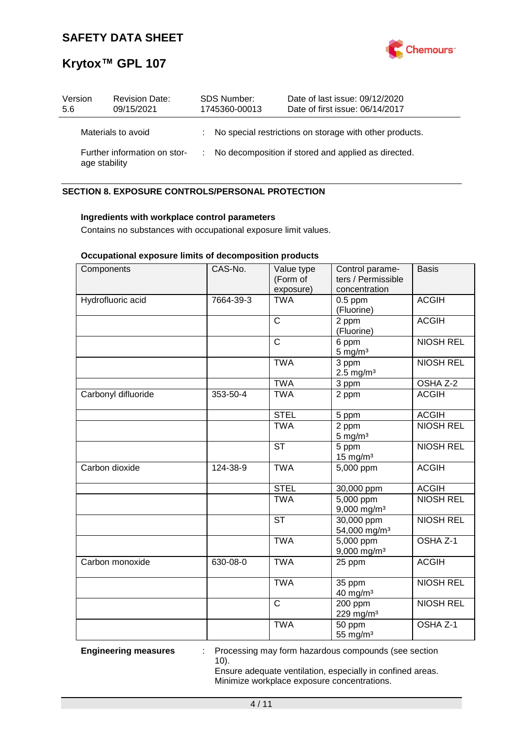

| Version<br>5.6 | <b>Revision Date:</b><br>09/15/2021           | SDS Number:<br>1745360-00013 | Date of last issue: 09/12/2020<br>Date of first issue: 06/14/2017 |
|----------------|-----------------------------------------------|------------------------------|-------------------------------------------------------------------|
|                | Materials to avoid                            |                              | : No special restrictions on storage with other products.         |
|                | Further information on stor-<br>age stability |                              | : No decomposition if stored and applied as directed.             |

### **SECTION 8. EXPOSURE CONTROLS/PERSONAL PROTECTION**

### **Ingredients with workplace control parameters**

Contains no substances with occupational exposure limit values.

### **Occupational exposure limits of decomposition products**

| Components          | CAS-No.   | Value type<br>(Form of<br>exposure) | Control parame-<br>ters / Permissible<br>concentration | <b>Basis</b>        |
|---------------------|-----------|-------------------------------------|--------------------------------------------------------|---------------------|
| Hydrofluoric acid   | 7664-39-3 | <b>TWA</b>                          | $0.5$ ppm<br>(Fluorine)                                | <b>ACGIH</b>        |
|                     |           | $\mathsf{C}$                        | 2 ppm<br>(Fluorine)                                    | <b>ACGIH</b>        |
|                     |           | $\mathsf{C}$                        | 6 ppm<br>$5$ mg/m <sup>3</sup>                         | <b>NIOSH REL</b>    |
|                     |           | <b>TWA</b>                          | 3 ppm<br>$2.5 \text{ mg/m}^3$                          | <b>NIOSH REL</b>    |
|                     |           | <b>TWA</b>                          | 3 ppm                                                  | OSHA Z-2            |
| Carbonyl difluoride | 353-50-4  | <b>TWA</b>                          | 2 ppm                                                  | <b>ACGIH</b>        |
|                     |           | <b>STEL</b>                         | 5 ppm                                                  | <b>ACGIH</b>        |
|                     |           | <b>TWA</b>                          | 2 ppm<br>$5 \text{ mg/m}^3$                            | <b>NIOSH REL</b>    |
|                     |           | <b>ST</b>                           | 5 ppm<br>$15$ mg/m <sup>3</sup>                        | <b>NIOSH REL</b>    |
| Carbon dioxide      | 124-38-9  | <b>TWA</b>                          | 5,000 ppm                                              | <b>ACGIH</b>        |
|                     |           | <b>STEL</b>                         | 30,000 ppm                                             | <b>ACGIH</b>        |
|                     |           | <b>TWA</b>                          | $\overline{5,000}$ ppm<br>9,000 mg/m <sup>3</sup>      | <b>NIOSH REL</b>    |
|                     |           | <b>ST</b>                           | 30,000 ppm<br>54,000 mg/m <sup>3</sup>                 | <b>NIOSH REL</b>    |
|                     |           | <b>TWA</b>                          | 5,000 ppm<br>$9,000$ mg/m <sup>3</sup>                 | OSHA <sub>Z-1</sub> |
| Carbon monoxide     | 630-08-0  | <b>TWA</b>                          | 25 ppm                                                 | <b>ACGIH</b>        |
|                     |           | <b>TWA</b>                          | 35 ppm<br>40 mg/m <sup>3</sup>                         | <b>NIOSH REL</b>    |
|                     |           | $\overline{\text{c}}$               | 200 ppm<br>229 mg/m <sup>3</sup>                       | <b>NIOSH REL</b>    |
|                     |           | <b>TWA</b>                          | 50 ppm<br>55 mg/m <sup>3</sup>                         | OSHA <sub>Z-1</sub> |

**Engineering measures** : Processing may form hazardous compounds (see section 10).

> Ensure adequate ventilation, especially in confined areas. Minimize workplace exposure concentrations.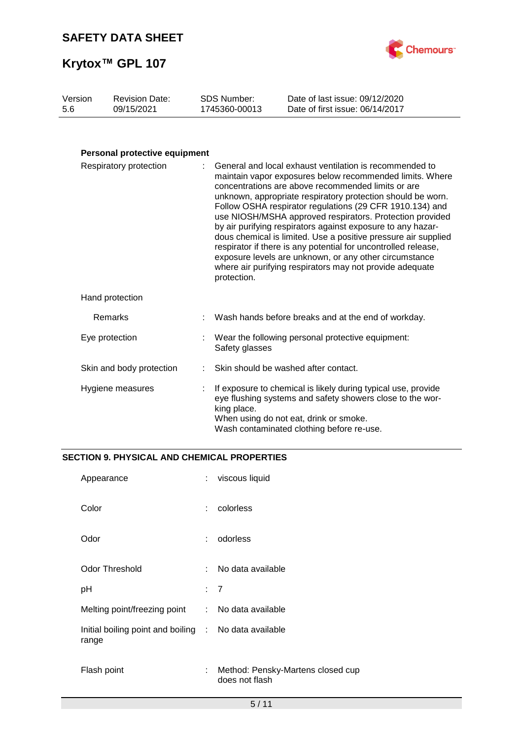

| Version | <b>Revision Date:</b> | SDS Number:   | Date of last issue: 09/12/2020  |
|---------|-----------------------|---------------|---------------------------------|
| -5.6    | 09/15/2021            | 1745360-00013 | Date of first issue: 06/14/2017 |

## **Personal protective equipment**

| Respiratory protection   |  | : General and local exhaust ventilation is recommended to<br>maintain vapor exposures below recommended limits. Where<br>concentrations are above recommended limits or are<br>unknown, appropriate respiratory protection should be worn.<br>Follow OSHA respirator regulations (29 CFR 1910.134) and<br>use NIOSH/MSHA approved respirators. Protection provided<br>by air purifying respirators against exposure to any hazar-<br>dous chemical is limited. Use a positive pressure air supplied<br>respirator if there is any potential for uncontrolled release,<br>exposure levels are unknown, or any other circumstance<br>where air purifying respirators may not provide adequate<br>protection. |  |
|--------------------------|--|------------------------------------------------------------------------------------------------------------------------------------------------------------------------------------------------------------------------------------------------------------------------------------------------------------------------------------------------------------------------------------------------------------------------------------------------------------------------------------------------------------------------------------------------------------------------------------------------------------------------------------------------------------------------------------------------------------|--|
| Hand protection          |  |                                                                                                                                                                                                                                                                                                                                                                                                                                                                                                                                                                                                                                                                                                            |  |
| Remarks                  |  | Wash hands before breaks and at the end of workday.                                                                                                                                                                                                                                                                                                                                                                                                                                                                                                                                                                                                                                                        |  |
| Eye protection           |  | : Wear the following personal protective equipment:<br>Safety glasses                                                                                                                                                                                                                                                                                                                                                                                                                                                                                                                                                                                                                                      |  |
| Skin and body protection |  | Skin should be washed after contact.                                                                                                                                                                                                                                                                                                                                                                                                                                                                                                                                                                                                                                                                       |  |
| Hygiene measures         |  | If exposure to chemical is likely during typical use, provide<br>eye flushing systems and safety showers close to the wor-<br>king place.<br>When using do not eat, drink or smoke.<br>Wash contaminated clothing before re-use.                                                                                                                                                                                                                                                                                                                                                                                                                                                                           |  |

### **SECTION 9. PHYSICAL AND CHEMICAL PROPERTIES**

| Appearance                                                     | ÷              | viscous liquid                                      |
|----------------------------------------------------------------|----------------|-----------------------------------------------------|
| Color                                                          | ÷              | colorless                                           |
| Odor                                                           | ÷              | odorless                                            |
| <b>Odor Threshold</b>                                          | ÷.             | No data available                                   |
| рH                                                             | $\therefore$ 7 |                                                     |
| Melting point/freezing point                                   | $\mathbb{R}^n$ | No data available                                   |
| Initial boiling point and boiling : No data available<br>range |                |                                                     |
| Flash point                                                    | ÷              | Method: Pensky-Martens closed cup<br>does not flash |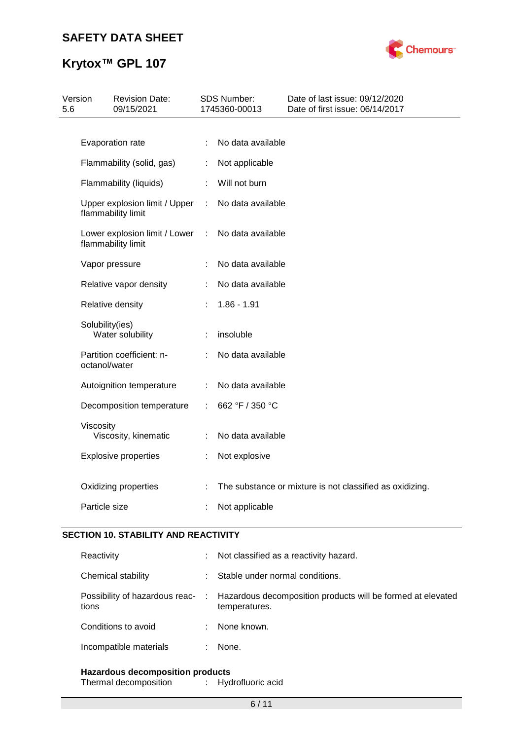# **Krytox™ GPL 107**



| Version<br>5.6 | <b>Revision Date:</b><br>09/15/2021                 |    | SDS Number:<br>1745360-00013 | Date of last issue: 09/12/2020<br>Date of first issue: 06/14/2017 |
|----------------|-----------------------------------------------------|----|------------------------------|-------------------------------------------------------------------|
|                |                                                     |    |                              |                                                                   |
|                | Evaporation rate                                    | ÷  | No data available            |                                                                   |
|                | Flammability (solid, gas)                           | ÷  | Not applicable               |                                                                   |
|                | Flammability (liquids)                              |    | Will not burn                |                                                                   |
|                | Upper explosion limit / Upper<br>flammability limit | ÷  | No data available            |                                                                   |
|                | Lower explosion limit / Lower<br>flammability limit | ÷  | No data available            |                                                                   |
|                | Vapor pressure                                      | ÷  | No data available            |                                                                   |
|                | Relative vapor density                              |    | No data available            |                                                                   |
|                | Relative density                                    |    | $1.86 - 1.91$                |                                                                   |
|                | Solubility(ies)<br>Water solubility                 |    | insoluble                    |                                                                   |
|                | Partition coefficient: n-<br>octanol/water          |    | No data available            |                                                                   |
|                | Autoignition temperature                            |    | No data available            |                                                                   |
|                | Decomposition temperature                           | ÷. | 662 °F / 350 °C              |                                                                   |
| Viscosity      | Viscosity, kinematic                                | ÷  | No data available            |                                                                   |
|                | <b>Explosive properties</b>                         | ÷  | Not explosive                |                                                                   |
|                | Oxidizing properties                                |    |                              | The substance or mixture is not classified as oxidizing.          |
| Particle size  |                                                     |    | Not applicable               |                                                                   |

### **SECTION 10. STABILITY AND REACTIVITY**

| Reactivity             | Not classified as a reactivity hazard.                                                                        |
|------------------------|---------------------------------------------------------------------------------------------------------------|
| Chemical stability     | Stable under normal conditions.                                                                               |
| tions                  | Possibility of hazardous reac- : Hazardous decomposition products will be formed at elevated<br>temperatures. |
| Conditions to avoid    | None known.                                                                                                   |
| Incompatible materials | None.                                                                                                         |
|                        |                                                                                                               |

**Hazardous decomposition products** Thermal decomposition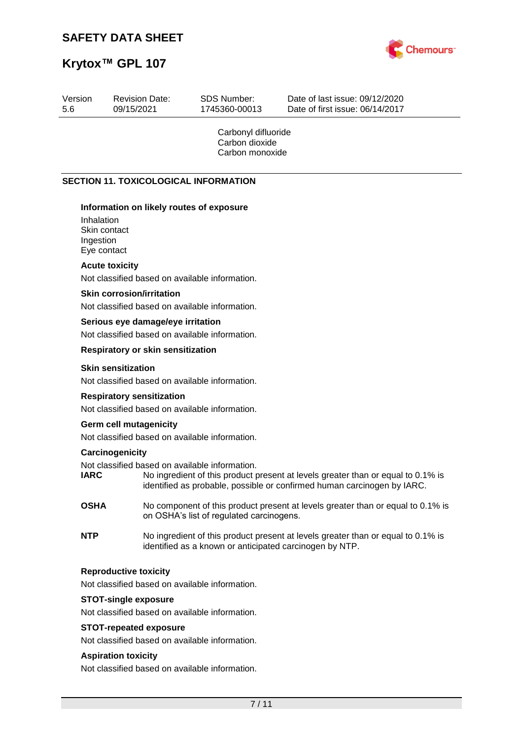

| Version<br>5.6 | 09/15/2021                                             | <b>Revision Date:</b>             | <b>SDS Number:</b><br>1745360-00013                      | Date of last issue: 09/12/2020<br>Date of first issue: 06/14/2017                                                                                           |
|----------------|--------------------------------------------------------|-----------------------------------|----------------------------------------------------------|-------------------------------------------------------------------------------------------------------------------------------------------------------------|
|                |                                                        |                                   | Carbonyl difluoride<br>Carbon dioxide<br>Carbon monoxide |                                                                                                                                                             |
|                |                                                        |                                   | <b>SECTION 11. TOXICOLOGICAL INFORMATION</b>             |                                                                                                                                                             |
|                | Inhalation<br>Skin contact<br>Ingestion<br>Eye contact |                                   | Information on likely routes of exposure                 |                                                                                                                                                             |
|                | <b>Acute toxicity</b>                                  |                                   | Not classified based on available information.           |                                                                                                                                                             |
|                | <b>Skin corrosion/irritation</b>                       |                                   |                                                          |                                                                                                                                                             |
|                |                                                        |                                   | Not classified based on available information.           |                                                                                                                                                             |
|                |                                                        | Serious eye damage/eye irritation |                                                          |                                                                                                                                                             |
|                |                                                        | Respiratory or skin sensitization | Not classified based on available information.           |                                                                                                                                                             |
|                | <b>Skin sensitization</b>                              |                                   |                                                          |                                                                                                                                                             |
|                |                                                        |                                   | Not classified based on available information.           |                                                                                                                                                             |
|                |                                                        | <b>Respiratory sensitization</b>  |                                                          |                                                                                                                                                             |
|                | <b>Germ cell mutagenicity</b>                          |                                   | Not classified based on available information.           |                                                                                                                                                             |
|                |                                                        |                                   | Not classified based on available information.           |                                                                                                                                                             |
|                | Carcinogenicity<br><b>IARC</b>                         |                                   | Not classified based on available information.           | No ingredient of this product present at levels greater than or equal to 0.1% is<br>identified as probable, possible or confirmed human carcinogen by IARC. |
|                | <b>OSHA</b>                                            |                                   | on OSHA's list of regulated carcinogens.                 | No component of this product present at levels greater than or equal to 0.1% is                                                                             |
| <b>NTP</b>     |                                                        |                                   |                                                          | No ingredient of this product present at levels greater than or equal to 0.1% is<br>identified as a known or anticipated carcinogen by NTP.                 |
|                | <b>Reproductive toxicity</b>                           |                                   |                                                          |                                                                                                                                                             |
|                |                                                        |                                   | Not classified based on available information.           |                                                                                                                                                             |
|                | <b>STOT-single exposure</b>                            |                                   |                                                          |                                                                                                                                                             |
|                |                                                        |                                   | Not classified based on available information.           |                                                                                                                                                             |
|                |                                                        | <b>STOT-repeated exposure</b>     | Not classified based on available information.           |                                                                                                                                                             |
|                | <b>Aspiration toxicity</b>                             |                                   |                                                          |                                                                                                                                                             |
|                |                                                        |                                   | Not classified based on available information.           |                                                                                                                                                             |
|                |                                                        |                                   | $7/11$                                                   |                                                                                                                                                             |
|                |                                                        |                                   |                                                          |                                                                                                                                                             |
|                |                                                        |                                   |                                                          |                                                                                                                                                             |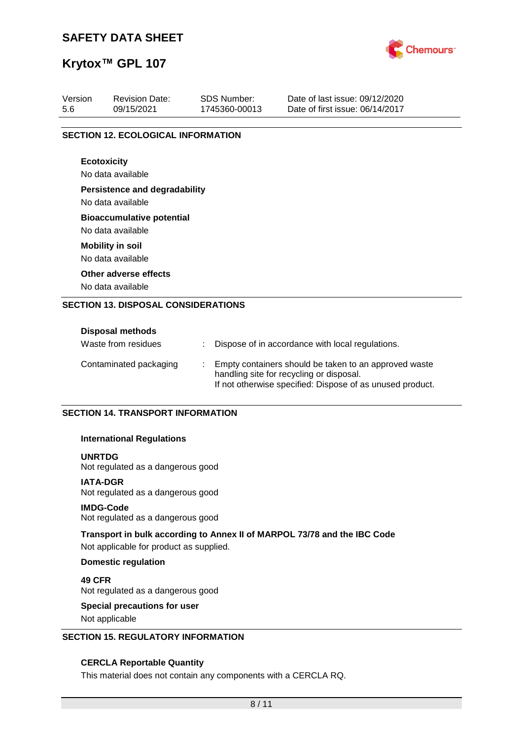

# **Krytox™ GPL 107**

| Version<br>5.6 | <b>Revision Date:</b><br>09/15/2021        | <b>SDS Number:</b><br>1745360-00013 | Date of last issue: 09/12/2020<br>Date of first issue: 06/14/2017 |  |  |  |  |
|----------------|--------------------------------------------|-------------------------------------|-------------------------------------------------------------------|--|--|--|--|
|                |                                            |                                     |                                                                   |  |  |  |  |
|                | <b>SECTION 12. ECOLOGICAL INFORMATION</b>  |                                     |                                                                   |  |  |  |  |
|                | <b>Ecotoxicity</b>                         |                                     |                                                                   |  |  |  |  |
|                | No data available                          |                                     |                                                                   |  |  |  |  |
|                | <b>Persistence and degradability</b>       |                                     |                                                                   |  |  |  |  |
|                | No data available                          |                                     |                                                                   |  |  |  |  |
|                | <b>Bioaccumulative potential</b>           |                                     |                                                                   |  |  |  |  |
|                | No data available                          |                                     |                                                                   |  |  |  |  |
|                | <b>Mobility in soil</b>                    |                                     |                                                                   |  |  |  |  |
|                | No data available                          |                                     |                                                                   |  |  |  |  |
|                | Other adverse effects                      |                                     |                                                                   |  |  |  |  |
|                | No data available                          |                                     |                                                                   |  |  |  |  |
|                | <b>SECTION 13. DISPOSAL CONSIDERATIONS</b> |                                     |                                                                   |  |  |  |  |
|                |                                            |                                     |                                                                   |  |  |  |  |
|                | Disposal methods                           |                                     |                                                                   |  |  |  |  |

| Waste from residues    | Dispose of in accordance with local regulations.                                                                                                               |
|------------------------|----------------------------------------------------------------------------------------------------------------------------------------------------------------|
| Contaminated packaging | Empty containers should be taken to an approved waste<br>handling site for recycling or disposal.<br>If not otherwise specified: Dispose of as unused product. |

### **SECTION 14. TRANSPORT INFORMATION**

### **International Regulations**

### **UNRTDG**

Not regulated as a dangerous good

### **IATA-DGR**

Not regulated as a dangerous good

### **IMDG-Code**

Not regulated as a dangerous good

### **Transport in bulk according to Annex II of MARPOL 73/78 and the IBC Code**

Not applicable for product as supplied.

### **Domestic regulation**

**49 CFR** Not regulated as a dangerous good

# **Special precautions for user**

Not applicable

### **SECTION 15. REGULATORY INFORMATION**

### **CERCLA Reportable Quantity**

This material does not contain any components with a CERCLA RQ.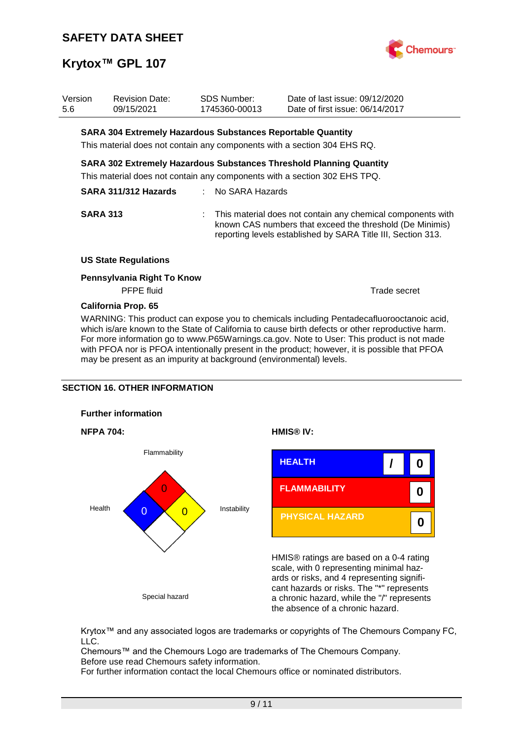

| Version<br>5.6 | <b>Revision Date:</b><br>09/15/2021                         | <b>SDS Number:</b><br>1745360-00013 | Date of last issue: 09/12/2020<br>Date of first issue: 06/14/2017                                                                                                                         |
|----------------|-------------------------------------------------------------|-------------------------------------|-------------------------------------------------------------------------------------------------------------------------------------------------------------------------------------------|
|                | SARA 304 Extremely Hazardous Substances Reportable Quantity |                                     | This material does not contain any components with a section 304 EHS RQ.                                                                                                                  |
|                |                                                             |                                     | <b>SARA 302 Extremely Hazardous Substances Threshold Planning Quantity</b><br>This material does not contain any components with a section 302 EHS TPQ.                                   |
|                | SARA 311/312 Hazards                                        | : No SARA Hazards                   |                                                                                                                                                                                           |
|                | <b>SARA 313</b>                                             |                                     | : This material does not contain any chemical components with<br>known CAS numbers that exceed the threshold (De Minimis)<br>reporting levels established by SARA Title III, Section 313. |
|                | <b>US State Regulations</b>                                 |                                     |                                                                                                                                                                                           |
|                | Pennsylvania Right To Know<br>PFPE fluid                    |                                     | Trade secret                                                                                                                                                                              |
|                | California Prop. 65                                         |                                     |                                                                                                                                                                                           |

WARNING: This product can expose you to chemicals including Pentadecafluorooctanoic acid, which is/are known to the State of California to cause birth defects or other reproductive harm. For more information go to www.P65Warnings.ca.gov. Note to User: This product is not made with PFOA nor is PFOA intentionally present in the product; however, it is possible that PFOA may be present as an impurity at background (environmental) levels.

### **SECTION 16. OTHER INFORMATION**









HMIS® ratings are based on a 0-4 rating scale, with 0 representing minimal hazards or risks, and 4 representing significant hazards or risks. The "\*" represents a chronic hazard, while the "/" represents the absence of a chronic hazard.

Krytox™ and any associated logos are trademarks or copyrights of The Chemours Company FC, LLC.

Chemours™ and the Chemours Logo are trademarks of The Chemours Company. Before use read Chemours safety information.

For further information contact the local Chemours office or nominated distributors.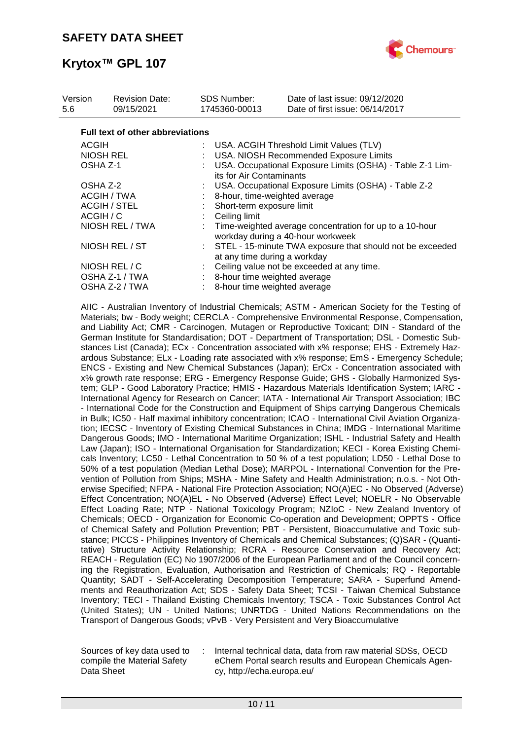

| Version<br>5.6 | <b>Revision Date:</b><br>09/15/2021     | SDS Number:<br>1745360-00013 | Date of last issue: 09/12/2020<br>Date of first issue: 06/14/2017                            |
|----------------|-----------------------------------------|------------------------------|----------------------------------------------------------------------------------------------|
|                | <b>Full text of other abbreviations</b> |                              |                                                                                              |
| <b>ACGIH</b>   |                                         |                              | : USA. ACGIH Threshold Limit Values (TLV)                                                    |
|                | <b>NIOSH REL</b>                        |                              | USA. NIOSH Recommended Exposure Limits                                                       |
| OSHA Z-1       |                                         |                              | USA. Occupational Exposure Limits (OSHA) - Table Z-1 Lim-<br>its for Air Contaminants        |
| OSHA Z-2       |                                         |                              | USA. Occupational Exposure Limits (OSHA) - Table Z-2                                         |
|                | ACGIH / TWA                             |                              | 8-hour, time-weighted average                                                                |
|                | <b>ACGIH / STEL</b>                     |                              | Short-term exposure limit                                                                    |
|                | ACGIH / C                               |                              | Ceiling limit                                                                                |
|                | NIOSH REL / TWA                         |                              | Time-weighted average concentration for up to a 10-hour<br>workday during a 40-hour workweek |
| NIOSH REL / ST |                                         |                              | : STEL - 15-minute TWA exposure that should not be exceeded<br>at any time during a workday  |
|                | NIOSH REL / C                           |                              | Ceiling value not be exceeded at any time.                                                   |
|                | OSHA Z-1 / TWA                          |                              | 8-hour time weighted average                                                                 |
|                | OSHA Z-2 / TWA                          |                              | 8-hour time weighted average                                                                 |

AIIC - Australian Inventory of Industrial Chemicals; ASTM - American Society for the Testing of Materials; bw - Body weight; CERCLA - Comprehensive Environmental Response, Compensation, and Liability Act; CMR - Carcinogen, Mutagen or Reproductive Toxicant; DIN - Standard of the German Institute for Standardisation; DOT - Department of Transportation; DSL - Domestic Substances List (Canada); ECx - Concentration associated with x% response; EHS - Extremely Hazardous Substance; ELx - Loading rate associated with x% response; EmS - Emergency Schedule; ENCS - Existing and New Chemical Substances (Japan); ErCx - Concentration associated with x% growth rate response; ERG - Emergency Response Guide; GHS - Globally Harmonized System; GLP - Good Laboratory Practice; HMIS - Hazardous Materials Identification System; IARC - International Agency for Research on Cancer; IATA - International Air Transport Association; IBC - International Code for the Construction and Equipment of Ships carrying Dangerous Chemicals in Bulk; IC50 - Half maximal inhibitory concentration; ICAO - International Civil Aviation Organization; IECSC - Inventory of Existing Chemical Substances in China; IMDG - International Maritime Dangerous Goods; IMO - International Maritime Organization; ISHL - Industrial Safety and Health Law (Japan); ISO - International Organisation for Standardization; KECI - Korea Existing Chemicals Inventory; LC50 - Lethal Concentration to 50 % of a test population; LD50 - Lethal Dose to 50% of a test population (Median Lethal Dose); MARPOL - International Convention for the Prevention of Pollution from Ships; MSHA - Mine Safety and Health Administration; n.o.s. - Not Otherwise Specified; NFPA - National Fire Protection Association; NO(A)EC - No Observed (Adverse) Effect Concentration; NO(A)EL - No Observed (Adverse) Effect Level; NOELR - No Observable Effect Loading Rate; NTP - National Toxicology Program; NZIoC - New Zealand Inventory of Chemicals; OECD - Organization for Economic Co-operation and Development; OPPTS - Office of Chemical Safety and Pollution Prevention; PBT - Persistent, Bioaccumulative and Toxic substance; PICCS - Philippines Inventory of Chemicals and Chemical Substances; (Q)SAR - (Quantitative) Structure Activity Relationship; RCRA - Resource Conservation and Recovery Act; REACH - Regulation (EC) No 1907/2006 of the European Parliament and of the Council concerning the Registration, Evaluation, Authorisation and Restriction of Chemicals; RQ - Reportable Quantity; SADT - Self-Accelerating Decomposition Temperature; SARA - Superfund Amendments and Reauthorization Act; SDS - Safety Data Sheet; TCSI - Taiwan Chemical Substance Inventory; TECI - Thailand Existing Chemicals Inventory; TSCA - Toxic Substances Control Act (United States); UN - United Nations; UNRTDG - United Nations Recommendations on the Transport of Dangerous Goods; vPvB - Very Persistent and Very Bioaccumulative

Sources of key data used to compile the Material Safety Data Sheet

Internal technical data, data from raw material SDSs, OECD eChem Portal search results and European Chemicals Agency, http://echa.europa.eu/